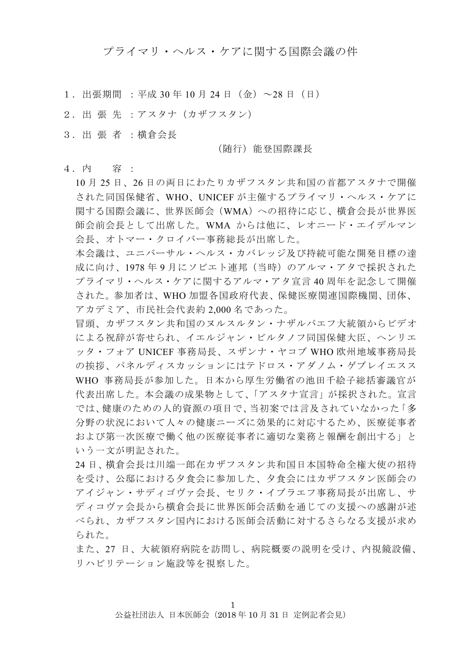プライマリ・ヘルス・ケアに関する国際会議の件

- 1. 出張期間 : 平成 30 年 10 月 24 日 (金) ~28 日 (日)
- 2.出 張 先 :アスタナ(カザフスタン)
- 3.出 張 者 :横倉会長

#### (随行)能登国際課長

4.内 容 :

10 月 25 日、26 日の両日にわたりカザフスタン共和国の首都アスタナで開催 された同国保健省、WHO、UNICEF が主催するプライマリ・ヘルス・ケアに 関する国際会議に、世界医師会(WMA)への招待に応じ、横倉会長が世界医 師会前会長として出席した。WMA からは他に、レオニード・エイデルマン 会長、オトマー・クロイバー事務総長が出席した。

本会議は、ユニバーサル・ヘルス・カバレッジ及び持続可能な開発目標の達 成に向け、1978 年 9 月にソビエト連邦(当時)のアルマ・アタで採択された プライマリ・ヘルス・ケアに関するアルマ・アタ宣言 40 周年を記念して開催 された。参加者は、WHO 加盟各国政府代表、保健医療関連国際機関、団体、 アカデミア、市民社会代表約 2,000 名であった。

冒頭、カザフスタン共和国のヌルスルタン・ナザルバエフ大統領からビデオ による祝辞が寄せられ、イエルジャン・ビルタノフ同国保健大臣、ヘンリエ ッタ・フォア UNICEF 事務局長、スザンナ・ヤコブ WHO 欧州地域事務局長 の挨拶、パネルディスカッションにはテドロス・アダノム・ゲブレイエスス WHO 事務局長が参加した。日本から厚生労働省の池田千絵子総括審議官が 代表出席した。本会議の成果物として、「アスタナ宣言」が採択された。宣言 では、健康のための人的資源の項目で、当初案では言及されていなかった「多 分野の状況において人々の健康ニーズに効果的に対応するため、医療従事者 および第一次医療で働く他の医療従事者に適切な業務と報酬を創出する」と いう一文が明記された。

24 日、横倉会長は川端一郎在カザフスタン共和国日本国特命全権大使の招待 を受け、公邸における夕食会に参加した、夕食会にはカザフスタン医師会の アイジャン・サディゴヴァ会長、セリク・イブラエフ事務局長が出席し、サ ディコヴァ会長から横倉会長に世界医師会活動を通じての支援への感謝が述 べられ、カザフスタン国内における医師会活動に対するさらなる支援が求め られた。

また、27 日、大統領府病院を訪問し、病院概要の説明を受け、内視鏡設備、 リハビリテーション施設等を視察した。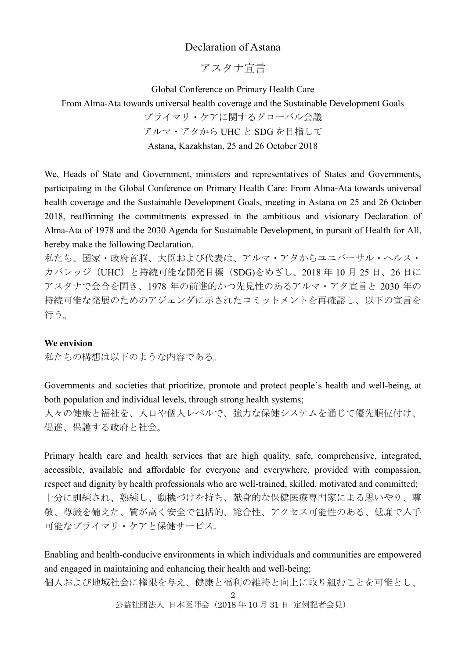# Declaration of Astana

アスタナ宣言

Global Conference on Primary Health Care

From Alma-Ata towards universal health coverage and the Sustainable Development Goals

プライマリ・ケアに関するグローバル会議 アルマ・アタから UHC と SDG を目指して

Astana, Kazakhstan, 25 and 26 October 2018

We, Heads of State and Government, ministers and representatives of States and Governments, participating in the Global Conference on Primary Health Care: From Alma-Ata towards universal health coverage and the Sustainable Development Goals, meeting in Astana on 25 and 26 October 2018, reaffirming the commitments expressed in the ambitious and visionary Declaration of Alma-Ata of 1978 and the 2030 Agenda for Sustainable Development, in pursuit of Health for All, hereby make the following Declaration.

私たち、国家・政府首脳、大臣および代表は、アルマ・アタからユニバーサル・ヘルス・ カバレッジ(UHC)と持続可能な開発目標(SDG)をめざし、2018 年 10 月 25 日、26 日に アスタナで会合を開き、1978 年の前進的かつ先見性のあるアルマ・アタ宣言と 2030 年の 持続可能な発展のためのアジェンダに示されたコミットメントを再確認し、以下の宣言を 行う。

### **We envision**

私たちの構想は以下のような内容である。

Governments and societies that prioritize, promote and protect people's health and well-being, at both population and individual levels, through strong health systems;

人々の健康と福祉を、人口や個人レベルで、強力な保健システムを通じて優先順位付け、 促進、保護する政府と社会。

Primary health care and health services that are high quality, safe, comprehensive, integrated, accessible, available and affordable for everyone and everywhere, provided with compassion, respect and dignity by health professionals who are well-trained, skilled, motivated and committed; 十分に訓練され、熟練し、動機づけを持ち、献身的な保健医療専門家による思いやり、尊 敬、尊厳を備えた、質が高く安全で包括的、総合性、アクセス可能性のある、低廉で入手 可能なプライマリ・ケアと保健サービス。

Enabling and health-conducive environments in which individuals and communities are empowered and engaged in maintaining and enhancing their health and well-being;

個人および地域社会に権限を与え、健康と福利の維持と向上に取り組むことを可能とし、

2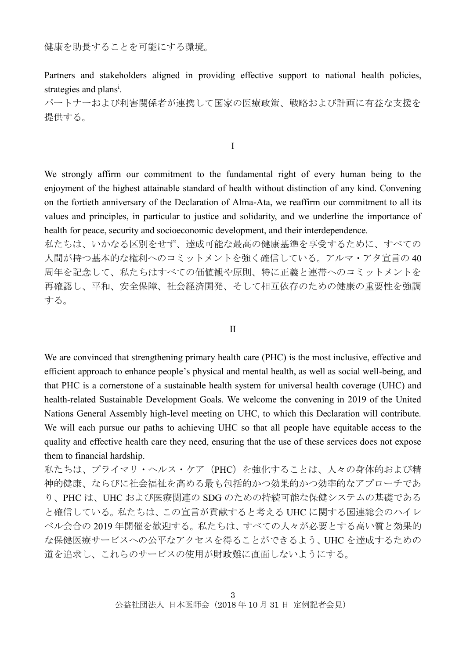健康を助長することを可能にする環境。

Partners and stakeholders aligned in providing effective support to national health policies, strategies and plans<sup>i</sup>.

パートナーおよび利害関係者が連携して国家の医療政策、戦略および計画に有益な支援を 提供する。

I

We strongly affirm our commitment to the fundamental right of every human being to the enjoyment of the highest attainable standard of health without distinction of any kind. Convening on the fortieth anniversary of the Declaration of Alma-Ata, we reaffirm our commitment to all its values and principles, in particular to justice and solidarity, and we underline the importance of health for peace, security and socioeconomic development, and their interdependence.

私たちは、いかなる区別をせず、達成可能な最高の健康基準を享受するために、すべての 人間が持つ基本的な権利へのコミットメントを強く確信している。アルマ・アタ宣言の 40 周年を記念して、私たちはすべての価値観や原則、特に正義と連帯へのコミットメントを 再確認し、平和、安全保障、社会経済開発、そして相互依存のための健康の重要性を強調 する。

II

We are convinced that strengthening primary health care (PHC) is the most inclusive, effective and efficient approach to enhance people's physical and mental health, as well as social well-being, and that PHC is a cornerstone of a sustainable health system for universal health coverage (UHC) and health-related Sustainable Development Goals. We welcome the convening in 2019 of the United Nations General Assembly high-level meeting on UHC, to which this Declaration will contribute. We will each pursue our paths to achieving UHC so that all people have equitable access to the quality and effective health care they need, ensuring that the use of these services does not expose them to financial hardship.

私たちは、プライマリ・ヘルス・ケア(PHC)を強化することは、人々の身体的および精 神的健康、ならびに社会福祉を高める最も包括的かつ効果的かつ効率的なアプローチであ り、PHC は、UHC および医療関連の SDG のための持続可能な保健システムの基礎である と確信している。私たちは、この宣言が貢献すると考える UHC に関する国連総会のハイレ ベル会合の 2019 年開催を歓迎する。私たちは、すべての人々が必要とする高い質と効果的 な保健医療サービスへの公平なアクセスを得ることができるよう、UHC を達成するための 道を追求し、これらのサービスの使用が財政難に直面しないようにする。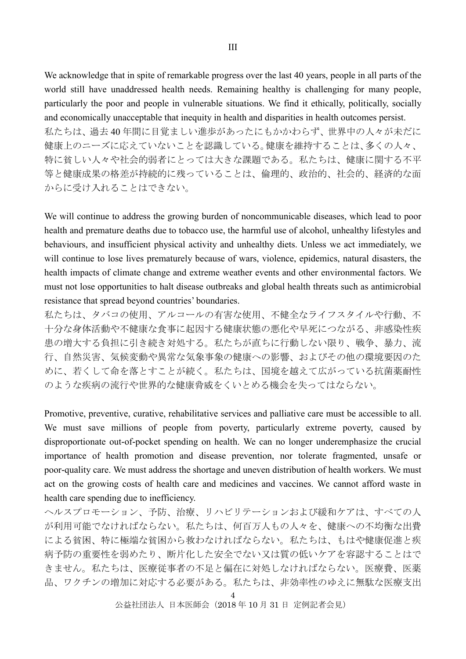We acknowledge that in spite of remarkable progress over the last 40 years, people in all parts of the world still have unaddressed health needs. Remaining healthy is challenging for many people, particularly the poor and people in vulnerable situations. We find it ethically, politically, socially and economically unacceptable that inequity in health and disparities in health outcomes persist. 私たちは、過去 40 年間に目覚ましい進歩があったにもかかわらず、世界中の人々が未だに 健康上のニーズに応えていないことを認識している。健康を維持することは、多くの人々、 特に貧しい人々や社会的弱者にとっては大きな課題である。私たちは、健康に関する不平 等と健康成果の格差が持続的に残っていることは、倫理的、政治的、社会的、経済的な面 からに受け入れることはできない。

We will continue to address the growing burden of noncommunicable diseases, which lead to poor health and premature deaths due to tobacco use, the harmful use of alcohol, unhealthy lifestyles and behaviours, and insufficient physical activity and unhealthy diets. Unless we act immediately, we will continue to lose lives prematurely because of wars, violence, epidemics, natural disasters, the health impacts of climate change and extreme weather events and other environmental factors. We must not lose opportunities to halt disease outbreaks and global health threats such as antimicrobial resistance that spread beyond countries' boundaries.

私たちは、タバコの使用、アルコールの有害な使用、不健全なライフスタイルや行動、不 十分な身体活動や不健康な食事に起因する健康状態の悪化や早死につながる、非感染性疾 患の増大する負担に引き続き対処する。私たちが直ちに行動しない限り、戦争、暴力、流 行、自然災害、気候変動や異常な気象事象の健康への影響、およびその他の環境要因のた めに、若くして命を落とすことが続く。私たちは、国境を越えて広がっている抗菌薬耐性 のような疾病の流行や世界的な健康脅威をくいとめる機会を失ってはならない。

Promotive, preventive, curative, rehabilitative services and palliative care must be accessible to all. We must save millions of people from poverty, particularly extreme poverty, caused by disproportionate out-of-pocket spending on health. We can no longer underemphasize the crucial importance of health promotion and disease prevention, nor tolerate fragmented, unsafe or poor-quality care. We must address the shortage and uneven distribution of health workers. We must act on the growing costs of health care and medicines and vaccines. We cannot afford waste in health care spending due to inefficiency.

ヘルスプロモーション、予防、治療、リハビリテーションおよび緩和ケアは、すべての人 が利用可能でなければならない。私たちは、何百万人もの人々を、健康への不均衡な出費 による貧困、特に極端な貧困から救わなければならない。私たちは、もはや健康促進と疾 病予防の重要性を弱めたり、断片化した安全でない又は質の低いケアを容認することはで きません。私たちは、医療従事者の不足と偏在に対処しなければならない。医療費、医薬 品、ワクチンの増加に対応する必要がある。私たちは、非効率性のゆえに無駄な医療支出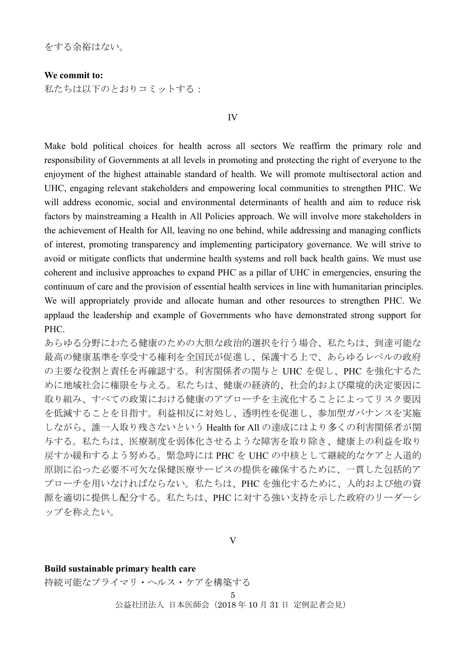をする余裕はない。

**We commit to:** 

私たちは以下のとおりコミットする:

IV

Make bold political choices for health across all sectors We reaffirm the primary role and responsibility of Governments at all levels in promoting and protecting the right of everyone to the enjoyment of the highest attainable standard of health. We will promote multisectoral action and UHC, engaging relevant stakeholders and empowering local communities to strengthen PHC. We will address economic, social and environmental determinants of health and aim to reduce risk factors by mainstreaming a Health in All Policies approach. We will involve more stakeholders in the achievement of Health for All, leaving no one behind, while addressing and managing conflicts of interest, promoting transparency and implementing participatory governance. We will strive to avoid or mitigate conflicts that undermine health systems and roll back health gains. We must use coherent and inclusive approaches to expand PHC as a pillar of UHC in emergencies, ensuring the continuum of care and the provision of essential health services in line with humanitarian principles. We will appropriately provide and allocate human and other resources to strengthen PHC. We applaud the leadership and example of Governments who have demonstrated strong support for PHC.

あらゆる分野にわたる健康のための大胆な政治的選択を行う場合、私たちは、到達可能な 最高の健康基準を享受する権利を全国民が促進し、保護する上で、あらゆるレベルの政府 の主要な役割と責任を再確認する。利害関係者の関与と UHC を促し、PHC を強化するた めに地域社会に権限を与える。私たちは、健康の経済的、社会的および環境的決定要因に 取り組み、すべての政策における健康のアプローチを主流化することによってリスク要因 を低減することを目指す。利益相反に対処し、透明性を促進し、参加型ガバナンスを実施 しながら、誰一人取り残さないという Health for All の達成にはより多くの利害関係者が関 与する。私たちは、医療制度を弱体化させるような障害を取り除き、健康上の利益を取り 戻すか緩和するよう努める。緊急時には PHC を UHC の中核として継続的なケアと人道的 原則に沿った必要不可欠な保健医療サービスの提供を確保するために、一貫した包括的ア プローチを用いなければならない。私たちは、PHC を強化するために、人的および他の資 源を適切に提供し配分する。私たちは、PHC に対する強い支持を示した政府のリーダーシ ップを称えたい。

V

#### **Build sustainable primary health care**

持続可能なプライマリ・ヘルス・ケアを構築する

5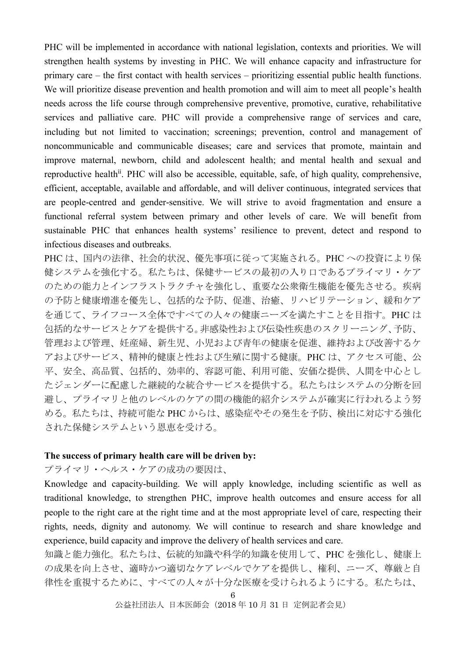PHC will be implemented in accordance with national legislation, contexts and priorities. We will strengthen health systems by investing in PHC. We will enhance capacity and infrastructure for primary care – the first contact with health services – prioritizing essential public health functions. We will prioritize disease prevention and health promotion and will aim to meet all people's health needs across the life course through comprehensive preventive, promotive, curative, rehabilitative services and palliative care. PHC will provide a comprehensive range of services and care, including but not limited to vaccination; screenings; prevention, control and management of noncommunicable and communicable diseases; care and services that promote, maintain and improve maternal, newborn, child and adolescent health; and mental health and sexual and reproductive health<sup>ii</sup>. PHC will also be accessible, equitable, safe, of high quality, comprehensive, efficient, acceptable, available and affordable, and will deliver continuous, integrated services that are people-centred and gender-sensitive. We will strive to avoid fragmentation and ensure a functional referral system between primary and other levels of care. We will benefit from sustainable PHC that enhances health systems' resilience to prevent, detect and respond to infectious diseases and outbreaks.

PHC は、国内の法律、社会的状況、優先事項に従って実施される。PHC への投資により保 健システムを強化する。私たちは、保健サービスの最初の入り口であるプライマリ・ケア のための能力とインフラストラクチャを強化し、重要な公衆衛生機能を優先させる。疾病 の予防と健康増進を優先し、包括的な予防、促進、治癒、リハビリテーション、緩和ケア を通じて、ライフコース全体ですべての人々の健康ニーズを満たすことを目指す。PHC は 包括的なサービスとケアを提供する。非感染性および伝染性疾患のスクリーニング、予防、 管理および管理、妊産婦、新生児、小児および青年の健康を促進、維持および改善するケ アおよびサービス、精神的健康と性および生殖に関する健康。PHC は、アクセス可能、公 平、安全、高品質、包括的、効率的、容認可能、利用可能、安価な提供、人間を中心とし たジェンダーに配慮した継続的な統合サービスを提供する。私たちはシステムの分断を回 避し、プライマリと他のレベルのケアの間の機能的紹介システムが確実に行われるよう努 める。私たちは、持続可能な PHC からは、感染症やその発生を予防、検出に対応する強化 された保健システムという恩恵を受ける。

# **The success of primary health care will be driven by:**

# プライマリ・ヘルス・ケアの成功の要因は、

Knowledge and capacity-building. We will apply knowledge, including scientific as well as traditional knowledge, to strengthen PHC, improve health outcomes and ensure access for all people to the right care at the right time and at the most appropriate level of care, respecting their rights, needs, dignity and autonomy. We will continue to research and share knowledge and experience, build capacity and improve the delivery of health services and care.

知識と能力強化。私たちは、伝統的知識や科学的知識を使用して、PHC を強化し、健康上 の成果を向上させ、適時かつ適切なケアレベルでケアを提供し、権利、ニーズ、尊厳と自 律性を重視するために、すべての人々が十分な医療を受けられるようにする。私たちは、

 $\mathbf{g}$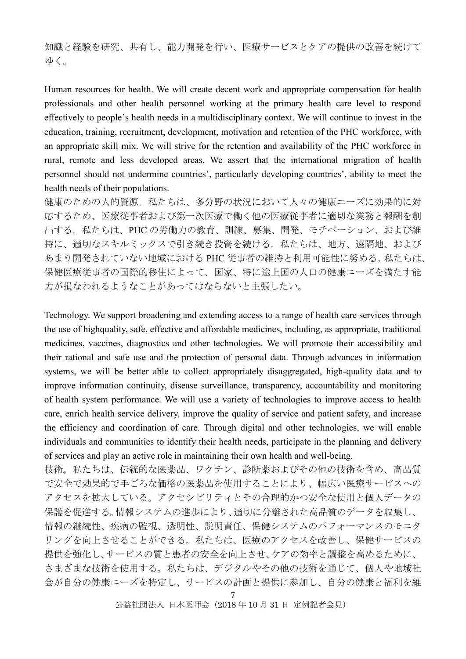知識と経験を研究、共有し、能力開発を行い、医療サービスとケアの提供の改善を続けて ゆく。

Human resources for health. We will create decent work and appropriate compensation for health professionals and other health personnel working at the primary health care level to respond effectively to people's health needs in a multidisciplinary context. We will continue to invest in the education, training, recruitment, development, motivation and retention of the PHC workforce, with an appropriate skill mix. We will strive for the retention and availability of the PHC workforce in rural, remote and less developed areas. We assert that the international migration of health personnel should not undermine countries', particularly developing countries', ability to meet the health needs of their populations.

健康のための人的資源。私たちは、多分野の状況において人々の健康ニーズに効果的に対 応するため、医療従事者および第一次医療で働く他の医療従事者に適切な業務と報酬を創 出する。私たちは、PHC の労働力の教育、訓練、募集、開発、モチベーション、および維 持に、適切なスキルミックスで引き続き投資を続ける。私たちは、地方、遠隔地、および あまり開発されていない地域における PHC 従事者の維持と利用可能性に努める。私たちは、 保健医療従事者の国際的移住によって、国家、特に途上国の人口の健康ニーズを満たす能 力が損なわれるようなことがあってはならないと主張したい。

Technology. We support broadening and extending access to a range of health care services through the use of highquality, safe, effective and affordable medicines, including, as appropriate, traditional medicines, vaccines, diagnostics and other technologies. We will promote their accessibility and their rational and safe use and the protection of personal data. Through advances in information systems, we will be better able to collect appropriately disaggregated, high-quality data and to improve information continuity, disease surveillance, transparency, accountability and monitoring of health system performance. We will use a variety of technologies to improve access to health care, enrich health service delivery, improve the quality of service and patient safety, and increase the efficiency and coordination of care. Through digital and other technologies, we will enable individuals and communities to identify their health needs, participate in the planning and delivery of services and play an active role in maintaining their own health and well-being.

技術。私たちは、伝統的な医薬品、ワクチン、診断薬およびその他の技術を含め、高品質 で安全で効果的で手ごろな価格の医薬品を使用することにより、幅広い医療サービスへの アクセスを拡大している。アクセシビリティとその合理的かつ安全な使用と個人データの 保護を促進する。情報システムの進歩により、適切に分離された高品質のデータを収集し、 情報の継続性、疾病の監視、透明性、説明責任、保健システムのパフォーマンスのモニタ リングを向上させることができる。私たちは、医療のアクセスを改善し、保健サービスの 提供を強化し、サービスの質と患者の安全を向上させ、ケアの効率と調整を高めるために、 さまざまな技術を使用する。私たちは、デジタルやその他の技術を通じて、個人や地域社 会が自分の健康ニーズを特定し、サービスの計画と提供に参加し、自分の健康と福利を維

<sup>7</sup>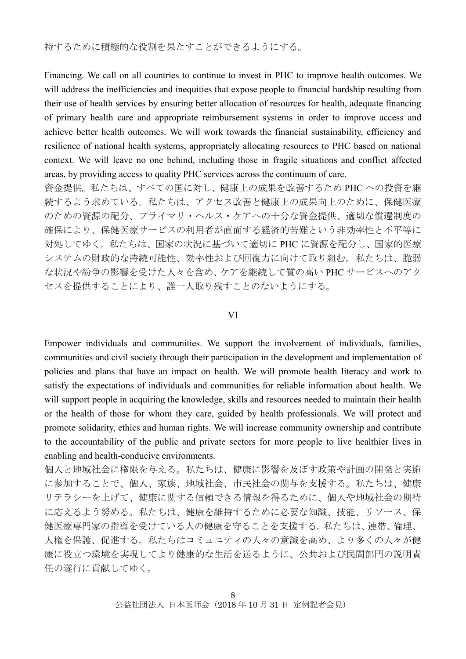Financing. We call on all countries to continue to invest in PHC to improve health outcomes. We will address the inefficiencies and inequities that expose people to financial hardship resulting from their use of health services by ensuring better allocation of resources for health, adequate financing of primary health care and appropriate reimbursement systems in order to improve access and achieve better health outcomes. We will work towards the financial sustainability, efficiency and resilience of national health systems, appropriately allocating resources to PHC based on national context. We will leave no one behind, including those in fragile situations and conflict affected areas, by providing access to quality PHC services across the continuum of care.

資金提供。私たちは、すべての国に対し、健康上の成果を改善するため PHC への投資を継 続するよう求めている。私たちは、アクセス改善と健康上の成果向上のために、保健医療 のための資源の配分、プライマリ・ヘルス・ケアへの十分な資金提供、適切な償還制度の 確保により、保健医療サービスの利用者が直面する経済的苦難という非効率性と不平等に 対処してゆく。私たちは、国家の状況に基づいて適切に PHC に資源を配分し、国家的医療 システムの財政的な持続可能性、効率性および回復力に向けて取り組む。私たちは、脆弱 な状況や紛争の影響を受けた人々を含め、ケアを継続して質の高い PHC サービスへのアク セスを提供することにより、誰一人取り残すことのないようにする。

#### VI

Empower individuals and communities. We support the involvement of individuals, families, communities and civil society through their participation in the development and implementation of policies and plans that have an impact on health. We will promote health literacy and work to satisfy the expectations of individuals and communities for reliable information about health. We will support people in acquiring the knowledge, skills and resources needed to maintain their health or the health of those for whom they care, guided by health professionals. We will protect and promote solidarity, ethics and human rights. We will increase community ownership and contribute to the accountability of the public and private sectors for more people to live healthier lives in enabling and health-conducive environments.

個人と地域社会に権限を与える。私たちは、健康に影響を及ぼす政策や計画の開発と実施 に参加することで、個人、家族、地域社会、市民社会の関与を支援する。私たちは、健康 リテラシーを上げて、健康に関する信頼できる情報を得るために、個人や地域社会の期待 に応えるよう努める。私たちは、健康を維持するために必要な知識、技能、リソース、保 健医療専門家の指導を受けている人の健康を守ることを支援する。私たちは、連帯、倫理、 人権を保護、促進する。私たちはコミュニティの人々の意識を高め、より多くの人々が健 康に役立つ環境を実現してより健康的な生活を送るように、公共および民間部門の説明責 任の遂行に貢献してゆく。